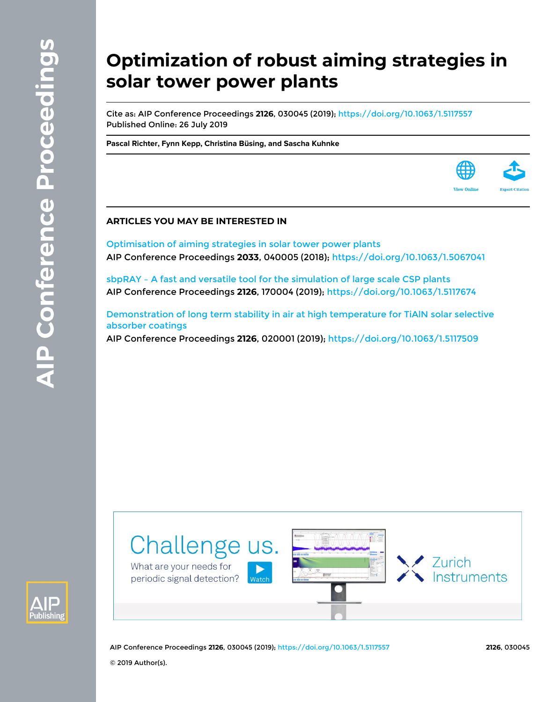# **Optimization of robust aiming strategies in solar tower power plants**

Cite as: AIP Conference Proceedings **2126**, 030045 (2019); <https://doi.org/10.1063/1.5117557> Published Online: 26 July 2019

**[Pascal Richter,](https://aip.scitation.org/author/Richter%2C+Pascal) [Fynn Kepp](https://aip.scitation.org/author/Kepp%2C+Fynn), [Christina Büsing,](https://aip.scitation.org/author/B%C3%BCsing%2C+Christina) and [Sascha Kuhnke](https://aip.scitation.org/author/Kuhnke%2C+Sascha)**

# **ARTICLES YOU MAY BE INTERESTED IN**

[Optimisation of aiming strategies in solar tower power plants](https://aip.scitation.org/doi/10.1063/1.5067041) AIP Conference Proceedings **2033**, 040005 (2018); <https://doi.org/10.1063/1.5067041>

[sbpRAY – A fast and versatile tool for the simulation of large scale CSP plants](https://aip.scitation.org/doi/10.1063/1.5117674) AIP Conference Proceedings **2126**, 170004 (2019); <https://doi.org/10.1063/1.5117674>

[Demonstration of long term stability in air at high temperature for TiAlN solar selective](https://aip.scitation.org/doi/10.1063/1.5117509) [absorber coatings](https://aip.scitation.org/doi/10.1063/1.5117509)

AIP Conference Proceedings **2126**, 020001 (2019);<https://doi.org/10.1063/1.5117509>





AIP Conference Proceedings **2126**, 030045 (2019);<https://doi.org/10.1063/1.5117557> **2126**, 030045

© 2019 Author(s).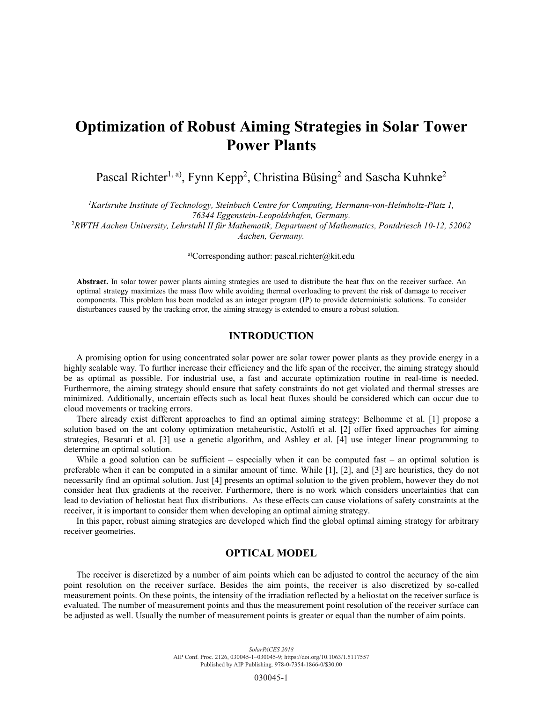# **Optimization of Robust Aiming Strategies in Solar Tower Power Plants**

Pascal Richter<sup>1, a)</sup>, Fynn Kepp<sup>2</sup>, Christina Büsing<sup>2</sup> and Sascha Kuhnke<sup>2</sup>

*1 Karlsruhe Institute of Technology, Steinbuch Centre for Computing, Hermann-von-Helmholtz-Platz 1, 76344 Eggenstein-Leopoldshafen, Germany.* 

2 *RWTH Aachen University, Lehrstuhl II für Mathematik, Department of Mathematics, Pontdriesch 10-12, 52062 Aachen, Germany.* 

a)Corresponding author: pascal.richter@kit.edu

**Abstract.** In solar tower power plants aiming strategies are used to distribute the heat flux on the receiver surface. An optimal strategy maximizes the mass flow while avoiding thermal overloading to prevent the risk of damage to receiver components. This problem has been modeled as an integer program (IP) to provide deterministic solutions. To consider disturbances caused by the tracking error, the aiming strategy is extended to ensure a robust solution.

# **INTRODUCTION**

A promising option for using concentrated solar power are solar tower power plants as they provide energy in a highly scalable way. To further increase their efficiency and the life span of the receiver, the aiming strategy should be as optimal as possible. For industrial use, a fast and accurate optimization routine in real-time is needed. Furthermore, the aiming strategy should ensure that safety constraints do not get violated and thermal stresses are minimized. Additionally, uncertain effects such as local heat fluxes should be considered which can occur due to cloud movements or tracking errors.

There already exist different approaches to find an optimal aiming strategy: Belhomme et al. [1] propose a solution based on the ant colony optimization metaheuristic, Astolfi et al. [2] offer fixed approaches for aiming strategies, Besarati et al. [3] use a genetic algorithm, and Ashley et al. [4] use integer linear programming to determine an optimal solution.

While a good solution can be sufficient – especially when it can be computed fast – an optimal solution is preferable when it can be computed in a similar amount of time. While [1], [2], and [3] are heuristics, they do not necessarily find an optimal solution. Just [4] presents an optimal solution to the given problem, however they do not consider heat flux gradients at the receiver. Furthermore, there is no work which considers uncertainties that can lead to deviation of heliostat heat flux distributions. As these effects can cause violations of safety constraints at the receiver, it is important to consider them when developing an optimal aiming strategy.

In this paper, robust aiming strategies are developed which find the global optimal aiming strategy for arbitrary receiver geometries.

# **OPTICAL MODEL**

The receiver is discretized by a number of aim points which can be adjusted to control the accuracy of the aim point resolution on the receiver surface. Besides the aim points, the receiver is also discretized by so-called measurement points. On these points, the intensity of the irradiation reflected by a heliostat on the receiver surface is evaluated. The number of measurement points and thus the measurement point resolution of the receiver surface can be adjusted as well. Usually the number of measurement points is greater or equal than the number of aim points.

030045-1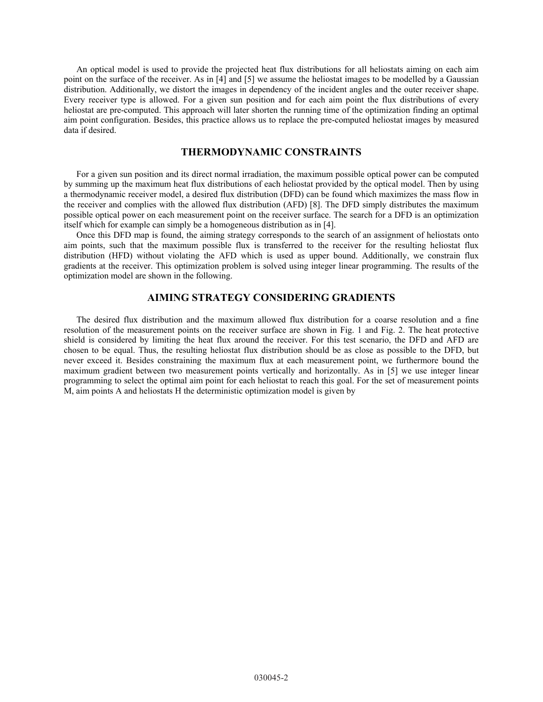An optical model is used to provide the projected heat flux distributions for all heliostats aiming on each aim point on the surface of the receiver. As in [4] and [5] we assume the heliostat images to be modelled by a Gaussian distribution. Additionally, we distort the images in dependency of the incident angles and the outer receiver shape. Every receiver type is allowed. For a given sun position and for each aim point the flux distributions of every heliostat are pre-computed. This approach will later shorten the running time of the optimization finding an optimal aim point configuration. Besides, this practice allows us to replace the pre-computed heliostat images by measured data if desired.

# **THERMODYNAMIC CONSTRAINTS**

For a given sun position and its direct normal irradiation, the maximum possible optical power can be computed by summing up the maximum heat flux distributions of each heliostat provided by the optical model. Then by using a thermodynamic receiver model, a desired flux distribution (DFD) can be found which maximizes the mass flow in the receiver and complies with the allowed flux distribution (AFD) [8]. The DFD simply distributes the maximum possible optical power on each measurement point on the receiver surface. The search for a DFD is an optimization itself which for example can simply be a homogeneous distribution as in [4].

Once this DFD map is found, the aiming strategy corresponds to the search of an assignment of heliostats onto aim points, such that the maximum possible flux is transferred to the receiver for the resulting heliostat flux distribution (HFD) without violating the AFD which is used as upper bound. Additionally, we constrain flux gradients at the receiver. This optimization problem is solved using integer linear programming. The results of the optimization model are shown in the following.

#### **AIMING STRATEGY CONSIDERING GRADIENTS**

The desired flux distribution and the maximum allowed flux distribution for a coarse resolution and a fine resolution of the measurement points on the receiver surface are shown in Fig. 1 and Fig. 2. The heat protective shield is considered by limiting the heat flux around the receiver. For this test scenario, the DFD and AFD are chosen to be equal. Thus, the resulting heliostat flux distribution should be as close as possible to the DFD, but never exceed it. Besides constraining the maximum flux at each measurement point, we furthermore bound the maximum gradient between two measurement points vertically and horizontally. As in [5] we use integer linear programming to select the optimal aim point for each heliostat to reach this goal. For the set of measurement points M, aim points A and heliostats H the deterministic optimization model is given by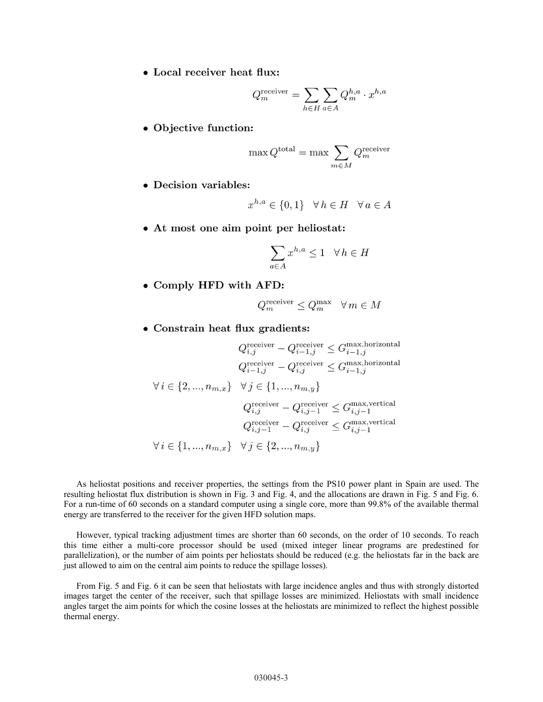• Local receiver heat flux:

$$
Q_m^{\text{receiver}} = \sum_{h \in H} \sum_{a \in A} Q_m^{h,a} \cdot x^{h,a}
$$

• Objective function:

$$
\max Q^{\text{total}} = \max \sum_{m \in M} Q^{\text{receiver}}_m
$$

• Decision variables:

$$
x^{h,a} \in \{0,1\} \quad \forall \, h \in H \quad \forall \, a \in A
$$

• At most one aim point per heliostat:

$$
\sum_{a \in A} x^{h, a} \le 1 \quad \forall \, h \in H
$$

• Comply HFD with AFD:

$$
Q_m^{\text{receiver}} \leq Q_m^{\max} \quad \forall \, m \in M
$$

• Constrain heat flux gradients:

$$
Q_{i,j}^{\text{receiver}} - Q_{i-1,j}^{\text{receiver}} \leq G_{i-1,j}^{\text{max,horizontal}}
$$
\n
$$
Q_{i-1,j}^{\text{receiver}} - Q_{i,j}^{\text{receiver}} \leq G_{i-1,j}^{\text{max,horizontal}}
$$
\n
$$
\forall i \in \{2, ..., n_{m,x}\} \quad \forall j \in \{1, ..., n_{m,y}\}
$$
\n
$$
Q_{i,j}^{\text{receiver}} - Q_{i,j-1}^{\text{receiver}} \leq G_{i,j-1}^{\text{max,vertical}}
$$
\n
$$
Q_{i,j-1}^{\text{receiver}} - Q_{i,j}^{\text{receiver}} \leq G_{i,j-1}^{\text{max,vertical}}
$$
\n
$$
\forall i \in \{1, ..., n_{m,x}\} \quad \forall j \in \{2, ..., n_{m,y}\}
$$

As heliostat positions and receiver properties, the settings from the PS10 power plant in Spain are used. The resulting heliostat flux distribution is shown in Fig. 3 and Fig. 4, and the allocations are drawn in Fig. 5 and Fig. 6. For a run-time of 60 seconds on a standard computer using a single core, more than 99.8% of the available thermal energy are transferred to the receiver for the given HFD solution maps.

However, typical tracking adjustment times are shorter than 60 seconds, on the order of 10 seconds. To reach this time either a multi-core processor should be used (mixed integer linear programs are predestined for parallelization), or the number of aim points per heliostats should be reduced (e.g. the heliostats far in the back are just allowed to aim on the central aim points to reduce the spillage losses).

From Fig. 5 and Fig. 6 it can be seen that heliostats with large incidence angles and thus with strongly distorted images target the center of the receiver, such that spillage losses are minimized. Heliostats with small incidence angles target the aim points for which the cosine losses at the heliostats are minimized to reflect the highest possible thermal energy.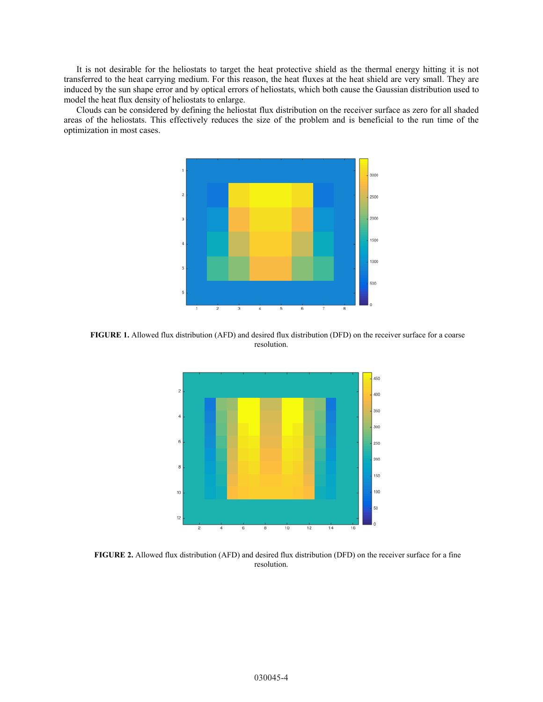It is not desirable for the heliostats to target the heat protective shield as the thermal energy hitting it is not transferred to the heat carrying medium. For this reason, the heat fluxes at the heat shield are very small. They are induced by the sun shape error and by optical errors of heliostats, which both cause the Gaussian distribution used to model the heat flux density of heliostats to enlarge.

Clouds can be considered by defining the heliostat flux distribution on the receiver surface as zero for all shaded areas of the heliostats. This effectively reduces the size of the problem and is beneficial to the run time of the optimization in most cases.



**FIGURE 1.** Allowed flux distribution (AFD) and desired flux distribution (DFD) on the receiver surface for a coarse resolution.



**FIGURE 2.** Allowed flux distribution (AFD) and desired flux distribution (DFD) on the receiver surface for a fine resolution.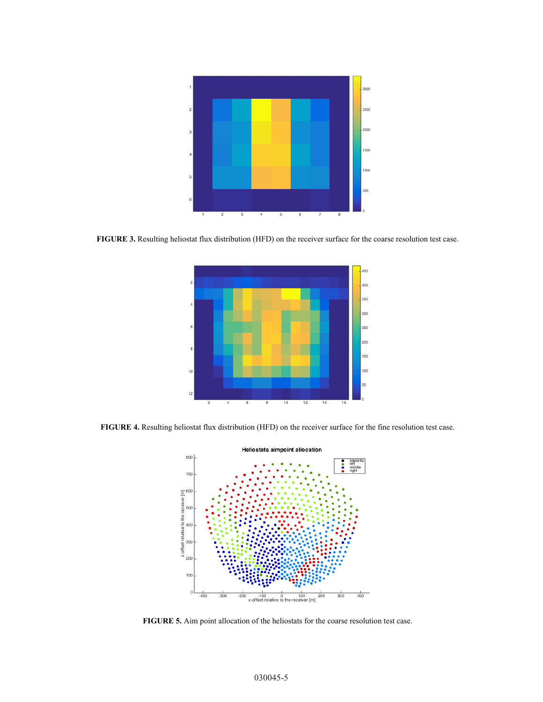

**FIGURE 3.** Resulting heliostat flux distribution (HFD) on the receiver surface for the coarse resolution test case.



**FIGURE 4.** Resulting heliostat flux distribution (HFD) on the receiver surface for the fine resolution test case.



**FIGURE 5.** Aim point allocation of the heliostats for the coarse resolution test case.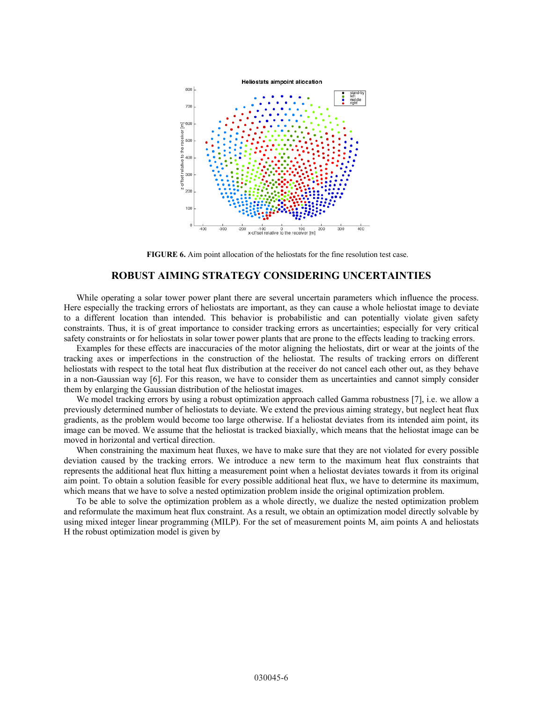

**FIGURE 6.** Aim point allocation of the heliostats for the fine resolution test case.

### **ROBUST AIMING STRATEGY CONSIDERING UNCERTAINTIES**

While operating a solar tower power plant there are several uncertain parameters which influence the process. Here especially the tracking errors of heliostats are important, as they can cause a whole heliostat image to deviate to a different location than intended. This behavior is probabilistic and can potentially violate given safety constraints. Thus, it is of great importance to consider tracking errors as uncertainties; especially for very critical safety constraints or for heliostats in solar tower power plants that are prone to the effects leading to tracking errors.

Examples for these effects are inaccuracies of the motor aligning the heliostats, dirt or wear at the joints of the tracking axes or imperfections in the construction of the heliostat. The results of tracking errors on different heliostats with respect to the total heat flux distribution at the receiver do not cancel each other out, as they behave in a non-Gaussian way [6]. For this reason, we have to consider them as uncertainties and cannot simply consider them by enlarging the Gaussian distribution of the heliostat images.

We model tracking errors by using a robust optimization approach called Gamma robustness [7], i.e. we allow a previously determined number of heliostats to deviate. We extend the previous aiming strategy, but neglect heat flux gradients, as the problem would become too large otherwise. If a heliostat deviates from its intended aim point, its image can be moved. We assume that the heliostat is tracked biaxially, which means that the heliostat image can be moved in horizontal and vertical direction.

When constraining the maximum heat fluxes, we have to make sure that they are not violated for every possible deviation caused by the tracking errors. We introduce a new term to the maximum heat flux constraints that represents the additional heat flux hitting a measurement point when a heliostat deviates towards it from its original aim point. To obtain a solution feasible for every possible additional heat flux, we have to determine its maximum, which means that we have to solve a nested optimization problem inside the original optimization problem.

To be able to solve the optimization problem as a whole directly, we dualize the nested optimization problem and reformulate the maximum heat flux constraint. As a result, we obtain an optimization model directly solvable by using mixed integer linear programming (MILP). For the set of measurement points M, aim points A and heliostats H the robust optimization model is given by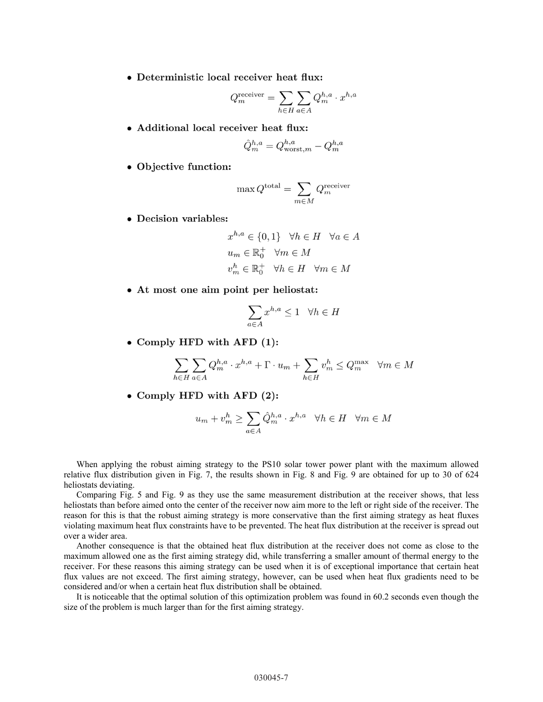• Deterministic local receiver heat flux:

$$
Q_m^{\text{receiver}} = \sum_{h \in H} \sum_{a \in A} Q_m^{h,a} \cdot x^{h,a}
$$

• Additional local receiver heat flux:

$$
\hat{Q}_m^{h,a} = Q_{\text{worst},m}^{h,a} - Q_m^{h,a}
$$

• Objective function:

$$
\max Q^{\text{total}} = \sum_{m \in M} Q^{\text{receiver}}_m
$$

• Decision variables:

$$
x^{h,a} \in \{0,1\} \quad \forall h \in H \quad \forall a \in A
$$

$$
u_m \in \mathbb{R}_0^+ \quad \forall m \in M
$$

$$
v_m^h \in \mathbb{R}_0^+ \quad \forall h \in H \quad \forall m \in M
$$

• At most one aim point per heliostat:

$$
\sum_{a \in A} x^{h,a} \le 1 \quad \forall h \in H
$$

• Comply HFD with AFD  $(1)$ :

$$
\sum_{h \in H} \sum_{a \in A} Q_m^{h,a} \cdot x^{h,a} + \Gamma \cdot u_m + \sum_{h \in H} v_m^h \le Q_m^{\max} \quad \forall m \in M
$$

• Comply HFD with AFD  $(2)$ :

$$
u_m + v_m^h \ge \sum_{a \in A} \hat{Q}_m^{h,a} \cdot x^{h,a} \quad \forall h \in H \quad \forall m \in M
$$

When applying the robust aiming strategy to the PS10 solar tower power plant with the maximum allowed relative flux distribution given in Fig. 7, the results shown in Fig. 8 and Fig. 9 are obtained for up to 30 of 624 heliostats deviating.

Comparing Fig. 5 and Fig. 9 as they use the same measurement distribution at the receiver shows, that less heliostats than before aimed onto the center of the receiver now aim more to the left or right side of the receiver. The reason for this is that the robust aiming strategy is more conservative than the first aiming strategy as heat fluxes violating maximum heat flux constraints have to be prevented. The heat flux distribution at the receiver is spread out over a wider area.

Another consequence is that the obtained heat flux distribution at the receiver does not come as close to the maximum allowed one as the first aiming strategy did, while transferring a smaller amount of thermal energy to the receiver. For these reasons this aiming strategy can be used when it is of exceptional importance that certain heat flux values are not exceed. The first aiming strategy, however, can be used when heat flux gradients need to be considered and/or when a certain heat flux distribution shall be obtained.

It is noticeable that the optimal solution of this optimization problem was found in 60.2 seconds even though the size of the problem is much larger than for the first aiming strategy.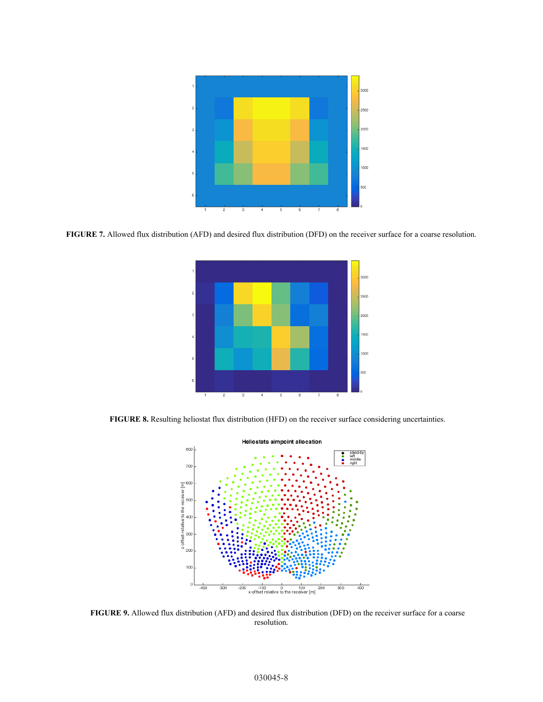

**FIGURE 7.** Allowed flux distribution (AFD) and desired flux distribution (DFD) on the receiver surface for a coarse resolution.



**FIGURE 8.** Resulting heliostat flux distribution (HFD) on the receiver surface considering uncertainties.



**FIGURE 9.** Allowed flux distribution (AFD) and desired flux distribution (DFD) on the receiver surface for a coarse resolution.